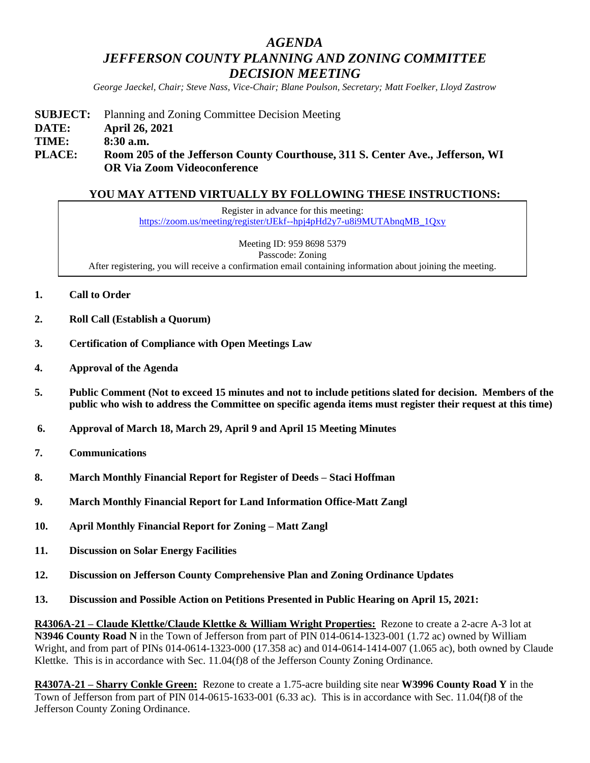# *AGENDA JEFFERSON COUNTY PLANNING AND ZONING COMMITTEE DECISION MEETING*

*George Jaeckel, Chair; Steve Nass, Vice-Chair; Blane Poulson, Secretary; Matt Foelker, Lloyd Zastrow*

**SUBJECT:** Planning and Zoning Committee Decision Meeting **DATE: April 26, 2021 TIME: 8:30 a.m. PLACE: Room 205 of the Jefferson County Courthouse, 311 S. Center Ave., Jefferson, WI OR Via Zoom Videoconference**

## **YOU MAY ATTEND VIRTUALLY BY FOLLOWING THESE INSTRUCTIONS:**

Register in advance for this meeting: [https://zoom.us/meeting/register/tJEkf--hpj4pHd2y7-u8i9MUTAbnqMB\\_1Qxy](https://zoom.us/meeting/register/tJEkf--hpj4pHd2y7-u8i9MUTAbnqMB_1Qxy)

Meeting ID: 959 8698 5379 Passcode: Zoning After registering, you will receive a confirmation email containing information about joining the meeting.

- **1. Call to Order**
- **2. Roll Call (Establish a Quorum)**
- **3. Certification of Compliance with Open Meetings Law**
- **4. Approval of the Agenda**
- **5. Public Comment (Not to exceed 15 minutes and not to include petitions slated for decision. Members of the public who wish to address the Committee on specific agenda items must register their request at this time)**
- **6. Approval of March 18, March 29, April 9 and April 15 Meeting Minutes**
- **7. Communications**
- **8. March Monthly Financial Report for Register of Deeds – Staci Hoffman**
- **9. March Monthly Financial Report for Land Information Office-Matt Zangl**
- **10. April Monthly Financial Report for Zoning – Matt Zangl**
- **11. Discussion on Solar Energy Facilities**
- **12. Discussion on Jefferson County Comprehensive Plan and Zoning Ordinance Updates**
- **13. Discussion and Possible Action on Petitions Presented in Public Hearing on April 15, 2021:**

**R4306A-21 – Claude Klettke/Claude Klettke & William Wright Properties:** Rezone to create a 2-acre A-3 lot at **N3946 County Road N** in the Town of Jefferson from part of PIN 014-0614-1323-001 (1.72 ac) owned by William Wright, and from part of PINs 014-0614-1323-000 (17.358 ac) and 014-0614-1414-007 (1.065 ac), both owned by Claude Klettke. This is in accordance with Sec. 11.04(f)8 of the Jefferson County Zoning Ordinance.

**R4307A-21 – Sharry Conkle Green:** Rezone to create a 1.75-acre building site near **W3996 County Road Y** in the Town of Jefferson from part of PIN 014-0615-1633-001 (6.33 ac). This is in accordance with Sec. 11.04(f)8 of the Jefferson County Zoning Ordinance.